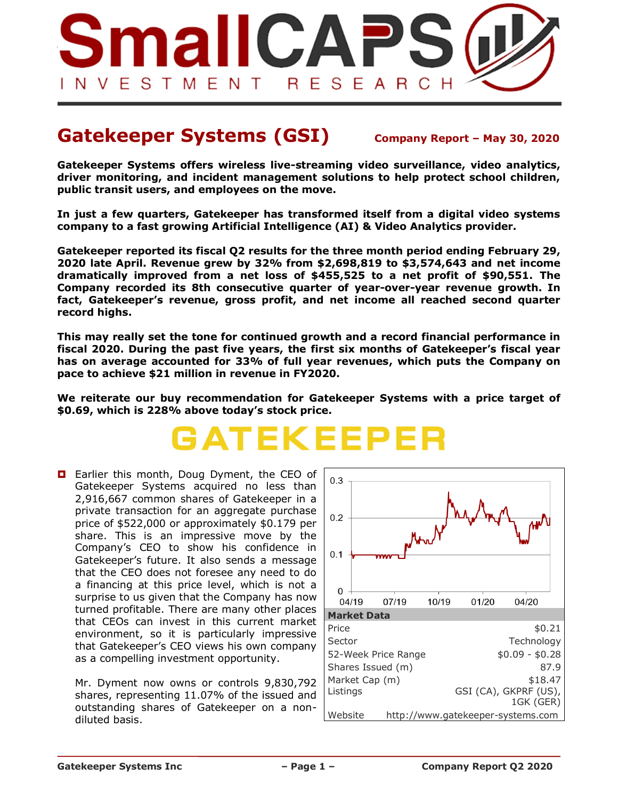

## **Gatekeeper Systems (GSI) Company Report – May 30, <sup>2020</sup>**

**Gatekeeper Systems offers wireless live-streaming video surveillance, video analytics, driver monitoring, and incident management solutions to help protect school children, public transit users, and employees on the move.**

**In just a few quarters, Gatekeeper has transformed itself from a digital video systems company to a fast growing Artificial Intelligence (AI) & Video Analytics provider.**

**Gatekeeper reported its fiscal Q2 results for the three month period ending February 29, 2020 late April. Revenue grew by 32% from \$2,698,819 to \$3,574,643 and net income dramatically improved from a net loss of \$455,525 to a net profit of \$90,551. The Company recorded its 8th consecutive quarter of year-over-year revenue growth. In fact, Gatekeeper's revenue, gross profit, and net income all reached second quarter record highs.** 

**This may really set the tone for continued growth and a record financial performance in fiscal 2020. During the past five years, the first six months of Gatekeeper's fiscal year has on average accounted for 33% of full year revenues, which puts the Company on pace to achieve \$21 million in revenue in FY2020.** 

**We reiterate our buy recommendation for Gatekeeper Systems with a price target of \$0.69, which is 228% above today's stock price.**



**Earlier this month, Doug Dyment, the CEO of** Gatekeeper Systems acquired no less than 2,916,667 common shares of Gatekeeper in a private transaction for an aggregate purchase price of \$522,000 or approximately \$0.179 per share. This is an impressive move by the Company's CEO to show his confidence in Gatekeeper's future. It also sends a message that the CEO does not foresee any need to do a financing at this price level, which is not a surprise to us given that the Company has now turned profitable. There are many other places that CEOs can invest in this current market environment, so it is particularly impressive that Gatekeeper's CEO views his own company as a compelling investment opportunity.

Mr. Dyment now owns or controls 9,830,792 shares, representing 11.07% of the issued and outstanding shares of Gatekeeper on a nondiluted basis.

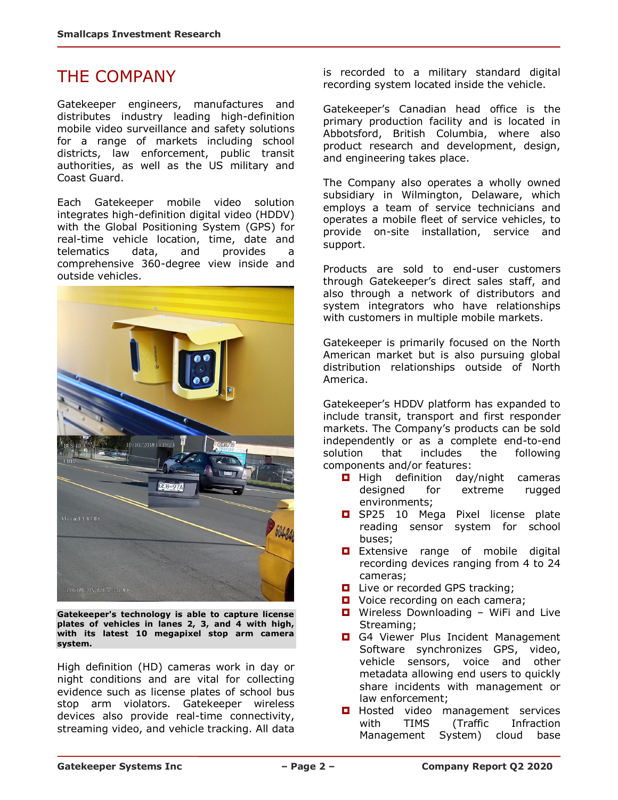## THE COMPANY

Gatekeeper engineers, manufactures and distributes industry leading high-definition mobile video surveillance and safety solutions for a range of markets including school districts, law enforcement, public transit authorities, as well as the US military and Coast Guard.

Each Gatekeeper mobile video solution integrates high-definition digital video (HDDV) with the Global Positioning System (GPS) for real-time vehicle location, time, date and telematics data, and provides a comprehensive 360-degree view inside and outside vehicles.



**Gatekeeper's technology is able to capture license plates of vehicles in lanes 2, 3, and 4 with high, with its latest 10 megapixel stop arm camera system.**

High definition (HD) cameras work in day or night conditions and are vital for collecting evidence such as license plates of school bus stop arm violators. Gatekeeper wireless devices also provide real-time connectivity, streaming video, and vehicle tracking. All data is recorded to a military standard digital recording system located inside the vehicle.

Gatekeeper's Canadian head office is the primary production facility and is located in Abbotsford, British Columbia, where also product research and development, design, and engineering takes place.

The Company also operates a wholly owned subsidiary in Wilmington, Delaware, which employs a team of service technicians and operates a mobile fleet of service vehicles, to provide on-site installation, service and support.

Products are sold to end-user customers through Gatekeeper's direct sales staff, and also through a network of distributors and system integrators who have relationships with customers in multiple mobile markets.

Gatekeeper is primarily focused on the North American market but is also pursuing global distribution relationships outside of North America.

Gatekeeper's HDDV platform has expanded to include transit, transport and first responder markets. The Company's products can be sold independently or as a complete end-to-end solution that includes the following components and/or features:

- $\Box$  High definition day/night cameras designed for extreme rugged environments;
- SP25 10 Mega Pixel license plate reading sensor system for school buses;
- **Extensive range of mobile digital** recording devices ranging from 4 to 24 cameras;
- **Live or recorded GPS tracking;**
- Voice recording on each camera;
- **D** Wireless Downloading WiFi and Live Streaming;
- G4 Viewer Plus Incident Management Software synchronizes GPS, video, vehicle sensors, voice and other metadata allowing end users to quickly share incidents with management or law enforcement;
- **Hosted** video management services with TIMS (Traffic Infraction Management System) cloud base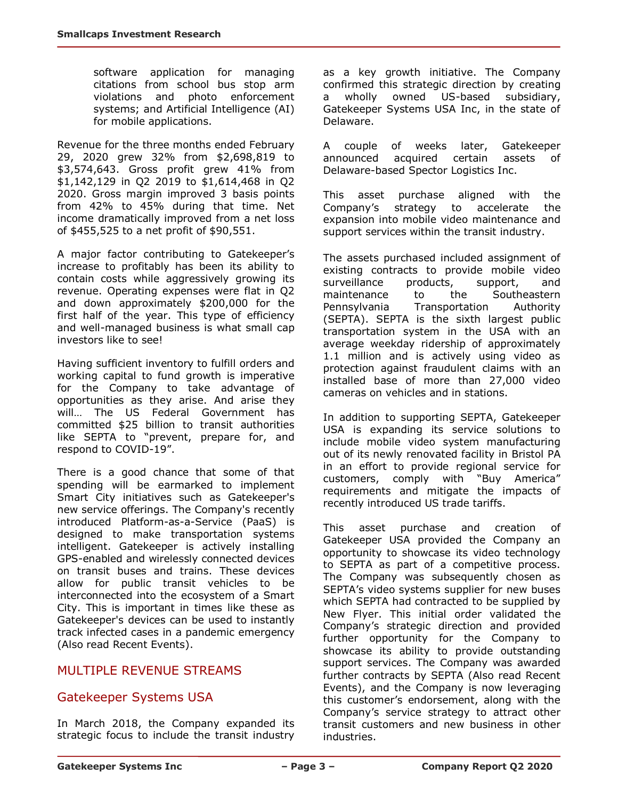software application for managing citations from school bus stop arm violations and photo enforcement systems; and Artificial Intelligence (AI) for mobile applications.

Revenue for the three months ended February 29, 2020 grew 32% from \$2,698,819 to \$3,574,643. Gross profit grew 41% from \$1,142,129 in Q2 2019 to \$1,614,468 in Q2 2020. Gross margin improved 3 basis points from 42% to 45% during that time. Net income dramatically improved from a net loss of \$455,525 to a net profit of \$90,551.

A major factor contributing to Gatekeeper's increase to profitably has been its ability to contain costs while aggressively growing its revenue. Operating expenses were flat in Q2 and down approximately \$200,000 for the first half of the year. This type of efficiency and well-managed business is what small cap investors like to see!

Having sufficient inventory to fulfill orders and working capital to fund growth is imperative for the Company to take advantage of opportunities as they arise. And arise they will… The US Federal Government has committed \$25 billion to transit authorities like SEPTA to "prevent, prepare for, and respond to COVID-19".

There is a good chance that some of that spending will be earmarked to implement Smart City initiatives such as Gatekeeper's new service offerings. The Company's recently introduced Platform-as-a-Service (PaaS) is designed to make transportation systems intelligent. Gatekeeper is actively installing GPS-enabled and wirelessly connected devices on transit buses and trains. These devices allow for public transit vehicles to be interconnected into the ecosystem of a Smart City. This is important in times like these as Gatekeeper's devices can be used to instantly track infected cases in a pandemic emergency (Also read Recent Events).

#### MULTIPLE REVENUE STREAMS

#### Gatekeeper Systems USA

In March 2018, the Company expanded its strategic focus to include the transit industry as a key growth initiative. The Company confirmed this strategic direction by creating a wholly owned US-based subsidiary, Gatekeeper Systems USA Inc, in the state of Delaware.

A couple of weeks later, Gatekeeper announced acquired certain assets of Delaware-based Spector Logistics Inc.

This asset purchase aligned with the Company's strategy to accelerate the expansion into mobile video maintenance and support services within the transit industry.

The assets purchased included assignment of existing contracts to provide mobile video surveillance products, support, and maintenance to the Southeastern Pennsylvania Transportation Authority (SEPTA). SEPTA is the sixth largest public transportation system in the USA with an average weekday ridership of approximately 1.1 million and is actively using video as protection against fraudulent claims with an installed base of more than 27,000 video cameras on vehicles and in stations.

In addition to supporting SEPTA, Gatekeeper USA is expanding its service solutions to include mobile video system manufacturing out of its newly renovated facility in Bristol PA in an effort to provide regional service for customers, comply with "Buy America" requirements and mitigate the impacts of recently introduced US trade tariffs.

This asset purchase and creation of Gatekeeper USA provided the Company an opportunity to showcase its video technology to SEPTA as part of a competitive process. The Company was subsequently chosen as SEPTA's video systems supplier for new buses which SEPTA had contracted to be supplied by New Flyer. This initial order validated the Company's strategic direction and provided further opportunity for the Company to showcase its ability to provide outstanding support services. The Company was awarded further contracts by SEPTA (Also read Recent Events), and the Company is now leveraging this customer's endorsement, along with the Company's service strategy to attract other transit customers and new business in other industries.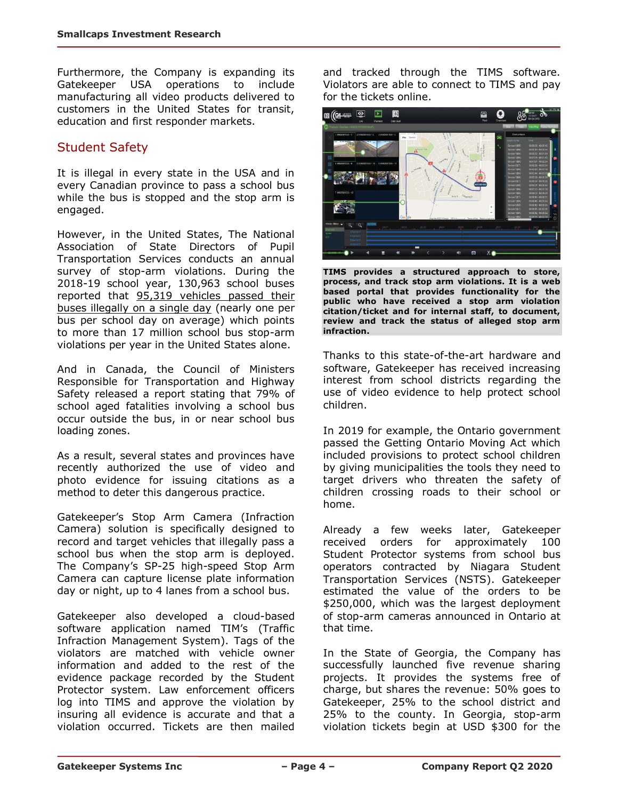Furthermore, the Company is expanding its Gatekeeper USA operations to include manufacturing all video products delivered to customers in the United States for transit, education and first responder markets.

#### Student Safety

It is illegal in every state in the USA and in every Canadian province to pass a school bus while the bus is stopped and the stop arm is engaged.

However, in the United States, The National Association of State Directors of Pupil Transportation Services conducts an annual survey of stop-arm violations. During the 2018-19 school year, 130,963 school buses reported that 95,319 vehicles passed their buses illegally on a single day (nearly one per bus per school day on average) which points to more than 17 million school bus stop-arm violations per year in the United States alone.

And in Canada, the Council of Ministers Responsible for Transportation and Highway Safety released a report stating that 79% of school aged fatalities involving a school bus occur outside the bus, in or near school bus loading zones.

As a result, several states and provinces have recently authorized the use of video and photo evidence for issuing citations as a method to deter this dangerous practice.

Gatekeeper's Stop Arm Camera (Infraction Camera) solution is specifically designed to record and target vehicles that illegally pass a school bus when the stop arm is deployed. The Company's SP-25 high-speed Stop Arm Camera can capture license plate information day or night, up to 4 lanes from a school bus.

Gatekeeper also developed a cloud-based software application named TIM's (Traffic Infraction Management System). Tags of the violators are matched with vehicle owner information and added to the rest of the evidence package recorded by the Student Protector system. Law enforcement officers log into TIMS and approve the violation by insuring all evidence is accurate and that a violation occurred. Tickets are then mailed

and tracked through the TIMS software. Violators are able to connect to TIMS and pay for the tickets online.



**TIMS provides a structured approach to store, process, and track stop arm violations. It is a web based portal that provides functionality for the public who have received a stop arm violation citation/ticket and for internal staff, to document, review and track the status of alleged stop arm infraction.**

Thanks to this state-of-the-art hardware and software, Gatekeeper has received increasing interest from school districts regarding the use of video evidence to help protect school children.

In 2019 for example, the Ontario government passed the Getting Ontario Moving Act which included provisions to protect school children by giving municipalities the tools they need to target drivers who threaten the safety of children crossing roads to their school or home.

Already a few weeks later, Gatekeeper received orders for approximately 100 Student Protector systems from school bus operators contracted by Niagara Student Transportation Services (NSTS). Gatekeeper estimated the value of the orders to be \$250,000, which was the largest deployment of stop-arm cameras announced in Ontario at that time.

In the State of Georgia, the Company has successfully launched five revenue sharing projects. It provides the systems free of charge, but shares the revenue: 50% goes to Gatekeeper, 25% to the school district and 25% to the county. In Georgia, stop-arm violation tickets begin at USD \$300 for the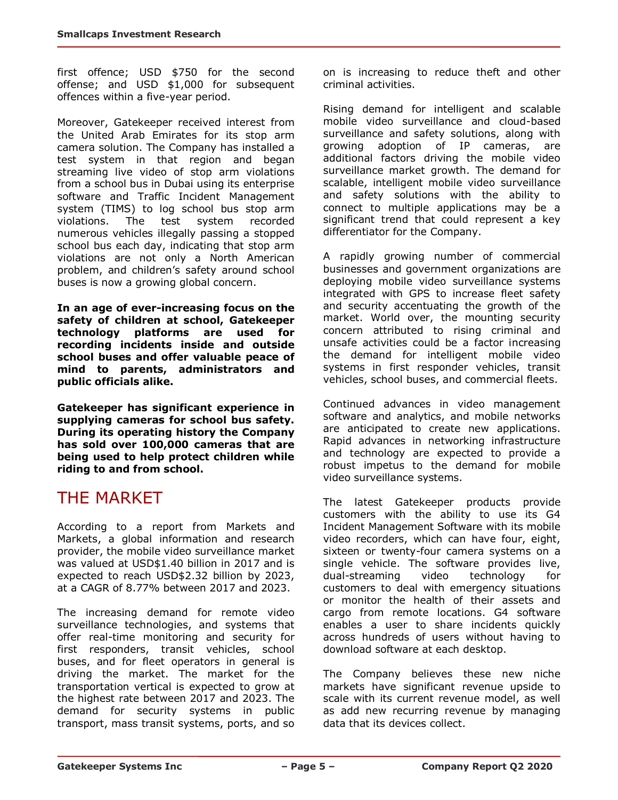first offence; USD \$750 for the second offense; and USD \$1,000 for subsequent offences within a five-year period.

Moreover, Gatekeeper received interest from the United Arab Emirates for its stop arm camera solution. The Company has installed a test system in that region and began streaming live video of stop arm violations from a school bus in Dubai using its enterprise software and Traffic Incident Management system (TIMS) to log school bus stop arm violations. The test system recorded numerous vehicles illegally passing a stopped school bus each day, indicating that stop arm violations are not only a North American problem, and children's safety around school buses is now a growing global concern.

**In an age of ever-increasing focus on the safety of children at school, Gatekeeper technology platforms are used for recording incidents inside and outside school buses and offer valuable peace of mind to parents, administrators and public officials alike.** 

**Gatekeeper has significant experience in supplying cameras for school bus safety. During its operating history the Company has sold over 100,000 cameras that are being used to help protect children while riding to and from school.**

## THE MARKET

According to a report from Markets and Markets, a global information and research provider, the mobile video surveillance market was valued at USD\$1.40 billion in 2017 and is expected to reach USD\$2.32 billion by 2023, at a CAGR of 8.77% between 2017 and 2023.

The increasing demand for remote video surveillance technologies, and systems that offer real-time monitoring and security for first responders, transit vehicles, school buses, and for fleet operators in general is driving the market. The market for the transportation vertical is expected to grow at the highest rate between 2017 and 2023. The demand for security systems in public transport, mass transit systems, ports, and so on is increasing to reduce theft and other criminal activities.

Rising demand for intelligent and scalable mobile video surveillance and cloud-based surveillance and safety solutions, along with growing adoption of IP cameras, are additional factors driving the mobile video surveillance market growth. The demand for scalable, intelligent mobile video surveillance and safety solutions with the ability to connect to multiple applications may be a significant trend that could represent a key differentiator for the Company.

A rapidly growing number of commercial businesses and government organizations are deploying mobile video surveillance systems integrated with GPS to increase fleet safety and security accentuating the growth of the market. World over, the mounting security concern attributed to rising criminal and unsafe activities could be a factor increasing the demand for intelligent mobile video systems in first responder vehicles, transit vehicles, school buses, and commercial fleets.

Continued advances in video management software and analytics, and mobile networks are anticipated to create new applications. Rapid advances in networking infrastructure and technology are expected to provide a robust impetus to the demand for mobile video surveillance systems.

The latest Gatekeeper products provide customers with the ability to use its G4 Incident Management Software with its mobile video recorders, which can have four, eight, sixteen or twenty-four camera systems on a single vehicle. The software provides live, dual-streaming video technology for customers to deal with emergency situations or monitor the health of their assets and cargo from remote locations. G4 software enables a user to share incidents quickly across hundreds of users without having to download software at each desktop.

The Company believes these new niche markets have significant revenue upside to scale with its current revenue model, as well as add new recurring revenue by managing data that its devices collect.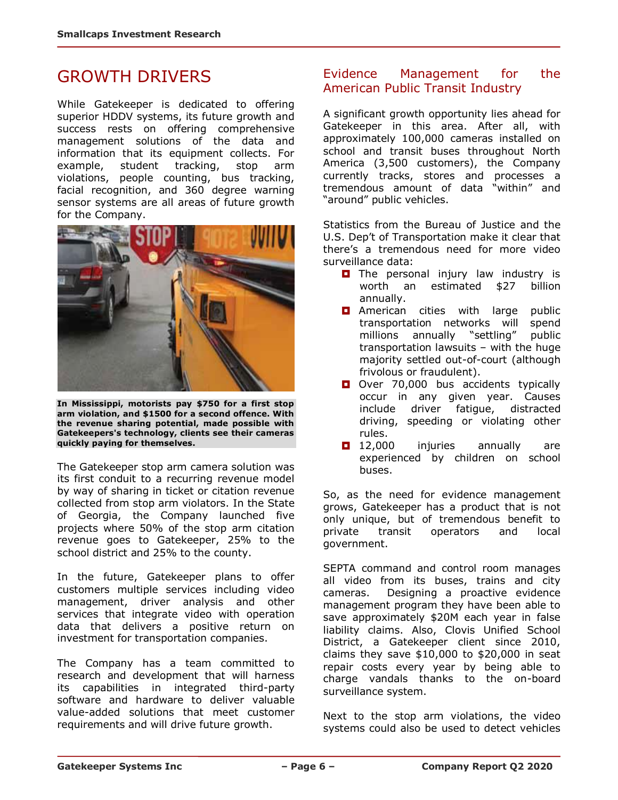## GROWTH DRIVERS

While Gatekeeper is dedicated to offering superior HDDV systems, its future growth and success rests on offering comprehensive management solutions of the data and information that its equipment collects. For example, student tracking, stop arm violations, people counting, bus tracking, facial recognition, and 360 degree warning sensor systems are all areas of future growth for the Company.



**In Mississippi, motorists pay \$750 for a first stop arm violation, and \$1500 for a second offence. With the revenue sharing potential, made possible with Gatekeepers's technology, clients see their cameras quickly paying for themselves.**

The Gatekeeper stop arm camera solution was its first conduit to a recurring revenue model by way of sharing in ticket or citation revenue collected from stop arm violators. In the State of Georgia, the Company launched five projects where 50% of the stop arm citation revenue goes to Gatekeeper, 25% to the school district and 25% to the county.

In the future, Gatekeeper plans to offer customers multiple services including video management, driver analysis and other services that integrate video with operation data that delivers a positive return on investment for transportation companies.

The Company has a team committed to research and development that will harness its capabilities in integrated third-party software and hardware to deliver valuable value-added solutions that meet customer requirements and will drive future growth.

#### Evidence Management for the American Public Transit Industry

A significant growth opportunity lies ahead for Gatekeeper in this area. After all, with approximately 100,000 cameras installed on school and transit buses throughout North America (3,500 customers), the Company currently tracks, stores and processes a tremendous amount of data "within" and "around" public vehicles.

Statistics from the Bureau of Justice and the U.S. Dep't of Transportation make it clear that there's a tremendous need for more video surveillance data:

- $\blacksquare$  The personal injury law industry is worth an estimated \$27 billion annually.
- **D** American cities with large public transportation networks will spend millions annually "settling" public transportation lawsuits – with the huge majority settled out-of-court (although frivolous or fraudulent).
- Over 70,000 bus accidents typically occur in any given year. Causes include driver fatigue, distracted driving, speeding or violating other rules.
- 12,000 injuries annually are experienced by children on school buses.

So, as the need for evidence management grows, Gatekeeper has a product that is not only unique, but of tremendous benefit to private transit operators and local government.

SEPTA command and control room manages all video from its buses, trains and city cameras. Designing a proactive evidence management program they have been able to save approximately \$20M each year in false liability claims. Also, Clovis Unified School District, a Gatekeeper client since 2010, claims they save \$10,000 to \$20,000 in seat repair costs every year by being able to charge vandals thanks to the on-board surveillance system.

Next to the stop arm violations, the video systems could also be used to detect vehicles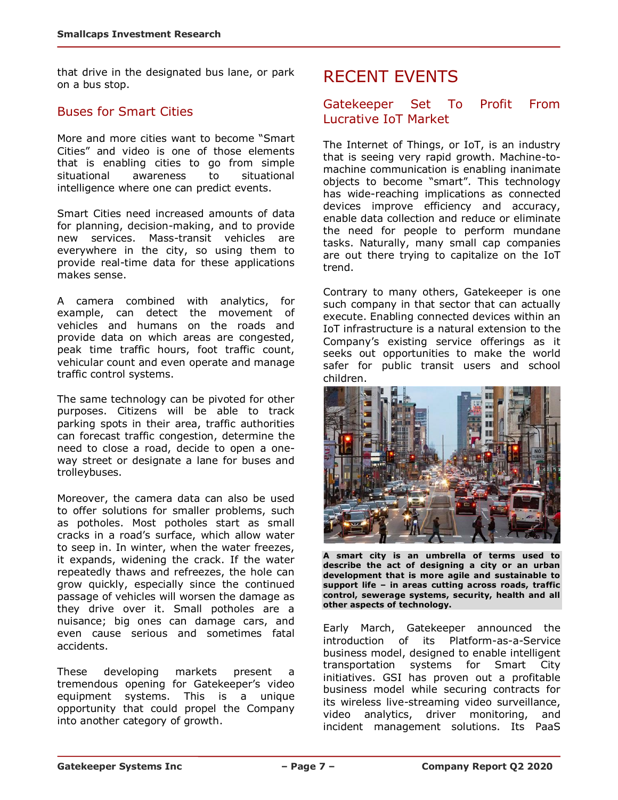that drive in the designated bus lane, or park on a bus stop.

#### Buses for Smart Cities

More and more cities want to become "Smart Cities" and video is one of those elements that is enabling cities to go from simple situational awareness to situational intelligence where one can predict events.

Smart Cities need increased amounts of data for planning, decision-making, and to provide new services. Mass-transit vehicles are everywhere in the city, so using them to provide real-time data for these applications makes sense.

A camera combined with analytics, for example, can detect the movement of vehicles and humans on the roads and provide data on which areas are congested, peak time traffic hours, foot traffic count, vehicular count and even operate and manage traffic control systems.

The same technology can be pivoted for other purposes. Citizens will be able to track parking spots in their area, traffic authorities can forecast traffic congestion, determine the need to close a road, decide to open a oneway street or designate a lane for buses and trolleybuses.

Moreover, the camera data can also be used to offer solutions for smaller problems, such as potholes. Most potholes start as small cracks in a road's surface, which allow water to seep in. In winter, when the water freezes, it expands, widening the crack. If the water repeatedly thaws and refreezes, the hole can grow quickly, especially since the continued passage of vehicles will worsen the damage as they drive over it. Small potholes are a nuisance; big ones can damage cars, and even cause serious and sometimes fatal accidents.

These developing markets present a tremendous opening for Gatekeeper's video equipment systems. This is a unique opportunity that could propel the Company into another category of growth.

## RECENT EVENTS

#### Gatekeeper Set To Profit From Lucrative IoT Market

The Internet of Things, or IoT, is an industry that is seeing very rapid growth. Machine-tomachine communication is enabling inanimate objects to become "smart". This technology has wide-reaching implications as connected devices improve efficiency and accuracy, enable data collection and reduce or eliminate the need for people to perform mundane tasks. Naturally, many small cap companies are out there trying to capitalize on the IoT trend.

Contrary to many others, Gatekeeper is one such company in that sector that can actually execute. Enabling connected devices within an IoT infrastructure is a natural extension to the Company's existing service offerings as it seeks out opportunities to make the world safer for public transit users and school children.



**A smart city is an umbrella of terms used to describe the act of designing a city or an urban development that is more agile and sustainable to support life – in areas cutting across roads, traffic control, sewerage systems, security, health and all other aspects of technology.**

Early March, Gatekeeper announced the introduction of its Platform-as-a-Service business model, designed to enable intelligent transportation systems for Smart City initiatives. GSI has proven out a profitable business model while securing contracts for its wireless live-streaming video surveillance, video analytics, driver monitoring, and incident management solutions. Its PaaS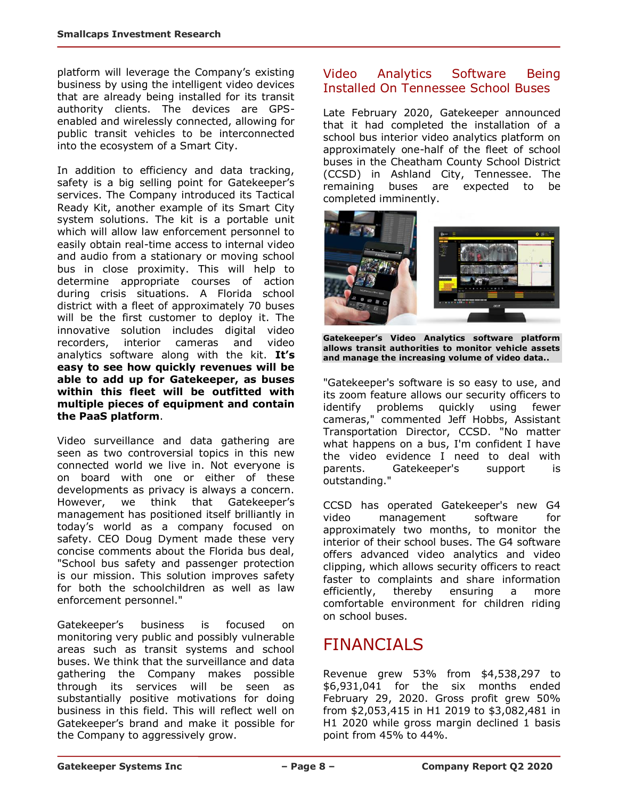platform will leverage the Company's existing business by using the intelligent video devices that are already being installed for its transit authority clients. The devices are GPSenabled and wirelessly connected, allowing for public transit vehicles to be interconnected into the ecosystem of a Smart City.

In addition to efficiency and data tracking, safety is a big selling point for Gatekeeper's services. The Company introduced its Tactical Ready Kit, another example of its Smart City system solutions. The kit is a portable unit which will allow law enforcement personnel to easily obtain real-time access to internal video and audio from a stationary or moving school bus in close proximity. This will help to determine appropriate courses of action during crisis situations. A Florida school district with a fleet of approximately 70 buses will be the first customer to deploy it. The innovative solution includes digital video recorders, interior cameras and video analytics software along with the kit. **It's easy to see how quickly revenues will be able to add up for Gatekeeper, as buses within this fleet will be outfitted with multiple pieces of equipment and contain the PaaS platform**.

Video surveillance and data gathering are seen as two controversial topics in this new connected world we live in. Not everyone is on board with one or either of these developments as privacy is always a concern. However, we think that Gatekeeper's management has positioned itself brilliantly in today's world as a company focused on safety. CEO Doug Dyment made these very concise comments about the Florida bus deal, "School bus safety and passenger protection is our mission. This solution improves safety for both the schoolchildren as well as law enforcement personnel."

Gatekeeper's business is focused on monitoring very public and possibly vulnerable areas such as transit systems and school buses. We think that the surveillance and data gathering the Company makes possible through its services will be seen as substantially positive motivations for doing business in this field. This will reflect well on Gatekeeper's brand and make it possible for the Company to aggressively grow.

#### Video Analytics Software Being Installed On Tennessee School Buses

Late February 2020, Gatekeeper announced that it had completed the installation of a school bus interior video analytics platform on approximately one-half of the fleet of school buses in the Cheatham County School District (CCSD) in Ashland City, Tennessee. The remaining buses are expected to be completed imminently.



**Gatekeeper's Video Analytics software platform allows transit authorities to monitor vehicle assets and manage the increasing volume of video data..**

"Gatekeeper's software is so easy to use, and its zoom feature allows our security officers to identify problems quickly using fewer cameras," commented Jeff Hobbs, Assistant Transportation Director, CCSD. "No matter what happens on a bus, I'm confident I have the video evidence I need to deal with parents. Gatekeeper's support is outstanding."

CCSD has operated Gatekeeper's new G4 video management software for approximately two months, to monitor the interior of their school buses. The G4 software offers advanced video analytics and video clipping, which allows security officers to react faster to complaints and share information efficiently, thereby ensuring a more comfortable environment for children riding on school buses.

## FINANCIALS

Revenue grew 53% from \$4,538,297 to \$6,931,041 for the six months ended February 29, 2020. Gross profit grew 50% from \$2,053,415 in H1 2019 to \$3,082,481 in H1 2020 while gross margin declined 1 basis point from 45% to 44%.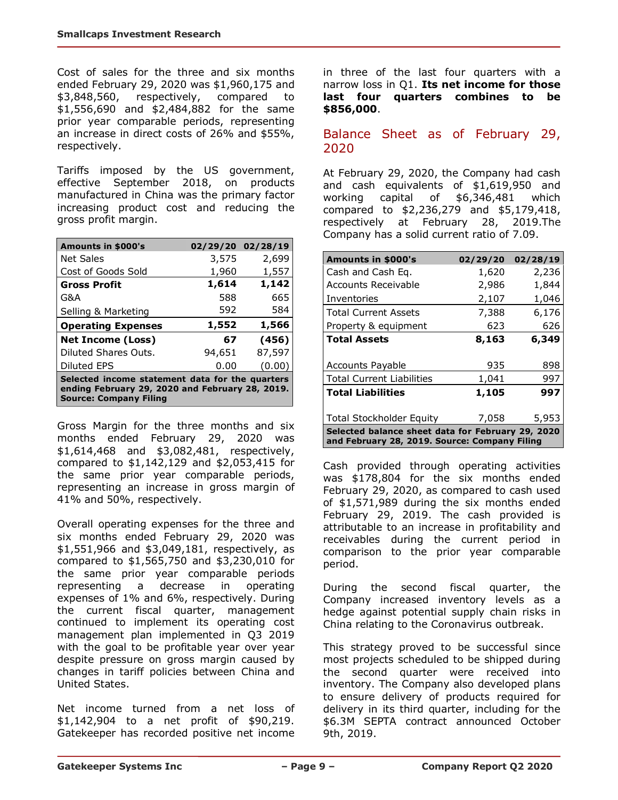Cost of sales for the three and six months ended February 29, 2020 was \$1,960,175 and \$3,848,560, respectively, compared to \$1,556,690 and \$2,484,882 for the same prior year comparable periods, representing an increase in direct costs of 26% and \$55%, respectively.

Tariffs imposed by the US government, effective September 2018, on products manufactured in China was the primary factor increasing product cost and reducing the gross profit margin.

| Amounts in \$000's                                                                                                                  |                | 02/29/20 02/28/19 |  |  |  |
|-------------------------------------------------------------------------------------------------------------------------------------|----------------|-------------------|--|--|--|
| <b>Net Sales</b>                                                                                                                    | 3,575          | 2,699             |  |  |  |
| Cost of Goods Sold                                                                                                                  | 1,960<br>1,557 |                   |  |  |  |
| <b>Gross Profit</b>                                                                                                                 | 1,614          | 1,142             |  |  |  |
| G&A                                                                                                                                 | 588            | 665               |  |  |  |
| Selling & Marketing                                                                                                                 | 592            | 584               |  |  |  |
| <b>Operating Expenses</b>                                                                                                           | 1,552          | 1,566             |  |  |  |
| <b>Net Income (Loss)</b>                                                                                                            | 67             | (456)             |  |  |  |
| Diluted Shares Outs.                                                                                                                | 94,651         | 87,597            |  |  |  |
| Diluted EPS                                                                                                                         | 0.00           | (0.00)            |  |  |  |
| Selected income statement data for the quarters<br>ending February 29, 2020 and February 28, 2019.<br><b>Source: Company Filing</b> |                |                   |  |  |  |

Gross Margin for the three months and six months ended February 29, 2020 was \$1,614,468 and \$3,082,481, respectively, compared to \$1,142,129 and \$2,053,415 for the same prior year comparable periods, representing an increase in gross margin of 41% and 50%, respectively.

Overall operating expenses for the three and six months ended February 29, 2020 was \$1,551,966 and \$3,049,181, respectively, as compared to \$1,565,750 and \$3,230,010 for the same prior year comparable periods representing a decrease in operating expenses of 1% and 6%, respectively. During the current fiscal quarter, management continued to implement its operating cost management plan implemented in Q3 2019 with the goal to be profitable year over year despite pressure on gross margin caused by changes in tariff policies between China and United States.

Net income turned from a net loss of \$1,142,904 to a net profit of \$90,219. Gatekeeper has recorded positive net income in three of the last four quarters with a narrow loss in Q1. **Its net income for those last four quarters combines to be \$856,000**.

#### Balance Sheet as of February 29, 2020

At February 29, 2020, the Company had cash and cash equivalents of \$1,619,950 and working capital of \$6,346,481 which compared to \$2,236,279 and \$5,179,418, respectively at February 28, 2019.The Company has a solid current ratio of 7.09.

| Amounts in \$000's                                                                                 | 02/29/20 | 02/28/19 |  |  |  |
|----------------------------------------------------------------------------------------------------|----------|----------|--|--|--|
| Cash and Cash Eq.                                                                                  | 1,620    | 2,236    |  |  |  |
| Accounts Receivable                                                                                | 2,986    | 1,844    |  |  |  |
| Inventories                                                                                        | 2,107    | 1,046    |  |  |  |
| <b>Total Current Assets</b>                                                                        | 7,388    | 6,176    |  |  |  |
| Property & equipment                                                                               | 623      | 626      |  |  |  |
| <b>Total Assets</b>                                                                                | 8,163    | 6,349    |  |  |  |
|                                                                                                    |          |          |  |  |  |
| <b>Accounts Payable</b>                                                                            | 935      | 898      |  |  |  |
| <b>Total Current Liabilities</b>                                                                   | 1,041    | 997      |  |  |  |
| <b>Total Liabilities</b>                                                                           | 1,105    | 997      |  |  |  |
|                                                                                                    |          |          |  |  |  |
| Total Stockholder Equity                                                                           | 7,058    | 5,953    |  |  |  |
| Selected balance sheet data for February 29, 2020<br>and February 28, 2019. Source: Company Filing |          |          |  |  |  |

Cash provided through operating activities was \$178,804 for the six months ended February 29, 2020, as compared to cash used of \$1,571,989 during the six months ended February 29, 2019. The cash provided is attributable to an increase in profitability and receivables during the current period in comparison to the prior year comparable period.

During the second fiscal quarter, the Company increased inventory levels as a hedge against potential supply chain risks in China relating to the Coronavirus outbreak.

This strategy proved to be successful since most projects scheduled to be shipped during the second quarter were received into inventory. The Company also developed plans to ensure delivery of products required for delivery in its third quarter, including for the \$6.3M SEPTA contract announced October 9th, 2019.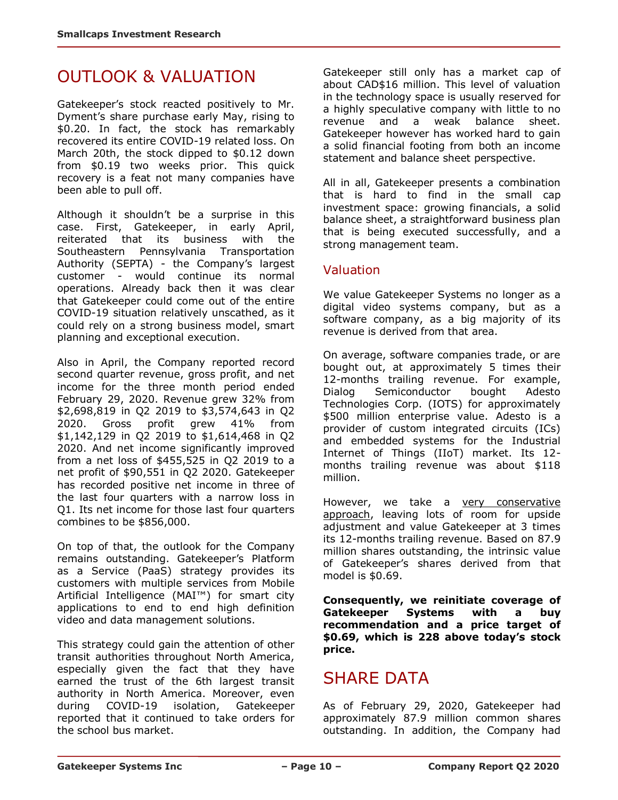## OUTLOOK & VALUATION

Gatekeeper's stock reacted positively to Mr. Dyment's share purchase early May, rising to \$0.20. In fact, the stock has remarkably recovered its entire COVID-19 related loss. On March 20th, the stock dipped to \$0.12 down from \$0.19 two weeks prior. This quick recovery is a feat not many companies have been able to pull off.

Although it shouldn't be a surprise in this case. First, Gatekeeper, in early April, reiterated that its business with the Southeastern Pennsylvania Transportation Authority (SEPTA) - the Company's largest customer - would continue its normal operations. Already back then it was clear that Gatekeeper could come out of the entire COVID-19 situation relatively unscathed, as it could rely on a strong business model, smart planning and exceptional execution.

Also in April, the Company reported record second quarter revenue, gross profit, and net income for the three month period ended February 29, 2020. Revenue grew 32% from \$2,698,819 in Q2 2019 to \$3,574,643 in Q2 2020. Gross profit grew 41% from \$1,142,129 in Q2 2019 to \$1,614,468 in Q2 2020. And net income significantly improved from a net loss of \$455,525 in Q2 2019 to a net profit of \$90,551 in Q2 2020. Gatekeeper has recorded positive net income in three of the last four quarters with a narrow loss in Q1. Its net income for those last four quarters combines to be \$856,000.

On top of that, the outlook for the Company remains outstanding. Gatekeeper's Platform as a Service (PaaS) strategy provides its customers with multiple services from Mobile Artificial Intelligence (MAI™) for smart city applications to end to end high definition video and data management solutions.

This strategy could gain the attention of other transit authorities throughout North America, especially given the fact that they have earned the trust of the 6th largest transit authority in North America. Moreover, even during COVID-19 isolation, Gatekeeper reported that it continued to take orders for the school bus market.

Gatekeeper still only has a market cap of about CAD\$16 million. This level of valuation in the technology space is usually reserved for a highly speculative company with little to no revenue and a weak balance sheet. Gatekeeper however has worked hard to gain a solid financial footing from both an income statement and balance sheet perspective.

All in all, Gatekeeper presents a combination that is hard to find in the small cap investment space: growing financials, a solid balance sheet, a straightforward business plan that is being executed successfully, and a strong management team.

#### Valuation

We value Gatekeeper Systems no longer as a digital video systems company, but as a software company, as a big majority of its revenue is derived from that area.

On average, software companies trade, or are bought out, at approximately 5 times their 12-months trailing revenue. For example, Dialog Semiconductor bought Adesto Technologies Corp. (IOTS) for approximately \$500 million enterprise value. Adesto is a provider of custom integrated circuits (ICs) and embedded systems for the Industrial Internet of Things (IIoT) market. Its 12 months trailing revenue was about \$118 million.

However, we take a very conservative approach, leaving lots of room for upside adjustment and value Gatekeeper at 3 times its 12-months trailing revenue. Based on 87.9 million shares outstanding, the intrinsic value of Gatekeeper's shares derived from that model is \$0.69.

**Consequently, we reinitiate coverage of Gatekeeper Systems with a buy recommendation and a price target of \$0.69, which is 228 above today's stock price.** 

## SHARE DATA

As of February 29, 2020, Gatekeeper had approximately 87.9 million common shares outstanding. In addition, the Company had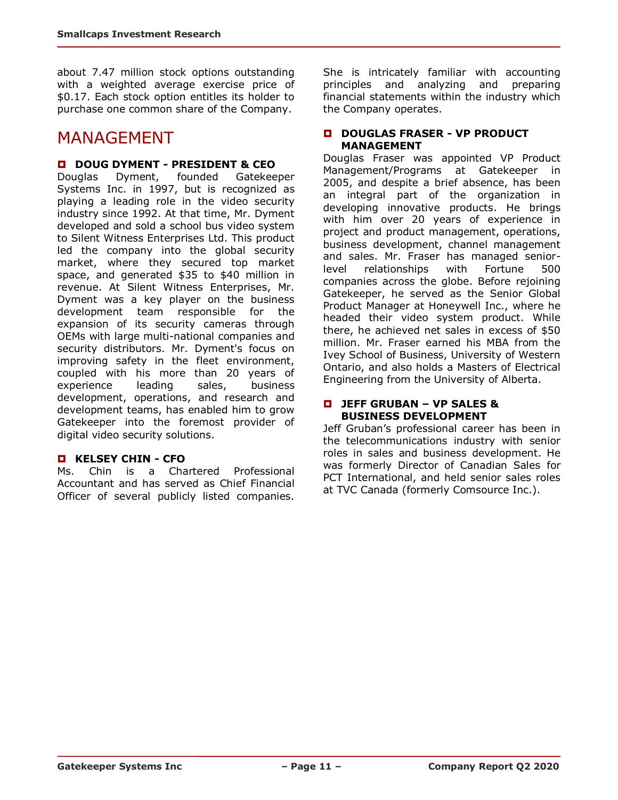about 7.47 million stock options outstanding with a weighted average exercise price of \$0.17. Each stock option entitles its holder to purchase one common share of the Company.

### MANAGEMENT

#### **DOUG DYMENT - PRESIDENT & CEO**

Douglas Dyment, founded Gatekeeper Systems Inc. in 1997, but is recognized as playing a leading role in the video security industry since 1992. At that time, Mr. Dyment developed and sold a school bus video system to Silent Witness Enterprises Ltd. This product led the company into the global security market, where they secured top market space, and generated \$35 to \$40 million in revenue. At Silent Witness Enterprises, Mr. Dyment was a key player on the business development team responsible for the expansion of its security cameras through OEMs with large multi-national companies and security distributors. Mr. Dyment's focus on improving safety in the fleet environment, coupled with his more than 20 years of experience leading sales, business development, operations, and research and development teams, has enabled him to grow Gatekeeper into the foremost provider of digital video security solutions.

#### **KELSEY CHIN - CFO**

Ms. Chin is a Chartered Professional Accountant and has served as Chief Financial Officer of several publicly listed companies. She is intricately familiar with accounting principles and analyzing and preparing financial statements within the industry which the Company operates.

#### **DOUGLAS FRASER - VP PRODUCT MANAGEMENT**

Douglas Fraser was appointed VP Product Management/Programs at Gatekeeper in 2005, and despite a brief absence, has been an integral part of the organization in developing innovative products. He brings with him over 20 years of experience in project and product management, operations, business development, channel management and sales. Mr. Fraser has managed seniorlevel relationships with Fortune 500 companies across the globe. Before rejoining Gatekeeper, he served as the Senior Global Product Manager at Honeywell Inc., where he headed their video system product. While there, he achieved net sales in excess of \$50 million. Mr. Fraser earned his MBA from the Ivey School of Business, University of Western Ontario, and also holds a Masters of Electrical Engineering from the University of Alberta.

#### **JEFF GRUBAN – VP SALES & BUSINESS DEVELOPMENT**

Jeff Gruban's professional career has been in the telecommunications industry with senior roles in sales and business development. He was formerly Director of Canadian Sales for PCT International, and held senior sales roles at TVC Canada (formerly Comsource Inc.).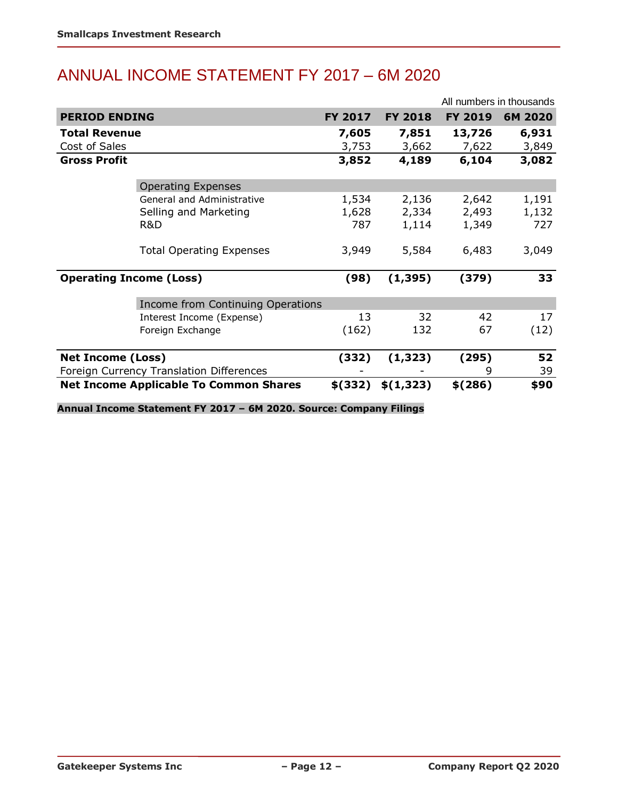## ANNUAL INCOME STATEMENT FY 2017 – 6M 2020

|                                |                                               |          | All numbers in thousands |         |         |
|--------------------------------|-----------------------------------------------|----------|--------------------------|---------|---------|
| <b>PERIOD ENDING</b>           |                                               | FY 2017  | <b>FY 2018</b>           | FY 2019 | 6M 2020 |
| <b>Total Revenue</b>           |                                               | 7,605    | 7,851                    | 13,726  | 6,931   |
| Cost of Sales                  |                                               | 3,753    | 3,662                    | 7,622   | 3,849   |
| <b>Gross Profit</b>            |                                               | 3,852    | 4,189                    | 6,104   | 3,082   |
|                                | <b>Operating Expenses</b>                     |          |                          |         |         |
|                                | General and Administrative                    | 1,534    | 2,136                    | 2,642   | 1,191   |
|                                | Selling and Marketing                         | 1,628    | 2,334                    | 2,493   | 1,132   |
|                                | R&D                                           | 787      | 1,114                    | 1,349   | 727     |
|                                | <b>Total Operating Expenses</b>               | 3,949    | 5,584                    | 6,483   | 3,049   |
| <b>Operating Income (Loss)</b> |                                               | (98)     | (1, 395)                 | (379)   | 33      |
|                                | Income from Continuing Operations             |          |                          |         |         |
|                                | Interest Income (Expense)                     | 13       | 32                       | 42      | 17      |
|                                | Foreign Exchange                              | (162)    | 132                      | 67      | (12)    |
| <b>Net Income (Loss)</b>       |                                               | (332)    | (1, 323)                 | (295)   | 52      |
|                                | Foreign Currency Translation Differences      |          |                          | 9       | 39      |
|                                | <b>Net Income Applicable To Common Shares</b> | \$ (332) | \$(1,323)                | \$(286) | \$90    |

**Annual Income Statement FY 2017 – 6M 2020. Source: Company Filings**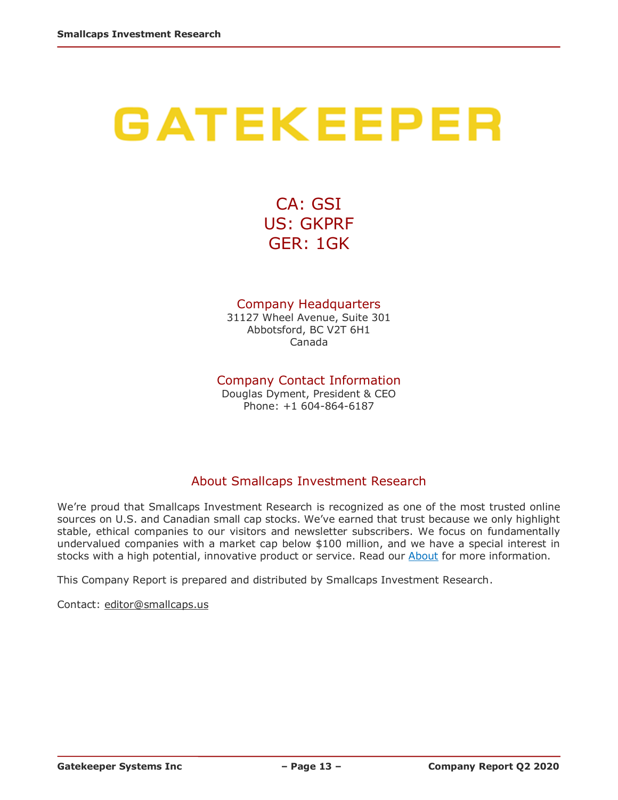# GATEKEEPER

CA: GSI US: GKPRF GER: 1GK

#### Company Headquarters

31127 Wheel Avenue, Suite 301 Abbotsford, BC V2T 6H1 Canada

#### Company Contact Information

Douglas Dyment, President & CEO Phone: +1 604-864-6187

#### About Smallcaps Investment Research

We're proud that Smallcaps Investment Research is recognized as one of the most trusted online sources on U.S. and Canadian small cap stocks. We've earned that trust because we only highlight stable, ethical companies to our visitors and newsletter subscribers. We focus on fundamentally undervalued companies with a market cap below \$100 million, and we have a special interest in stocks with a high potential, innovative product or service. Read our [About](http://smallcaps.us/about) for more information.

This Company Report is prepared and distributed by Smallcaps Investment Research.

Contact: [editor@smallcaps.us](mailto:editor@smallcaps.us)